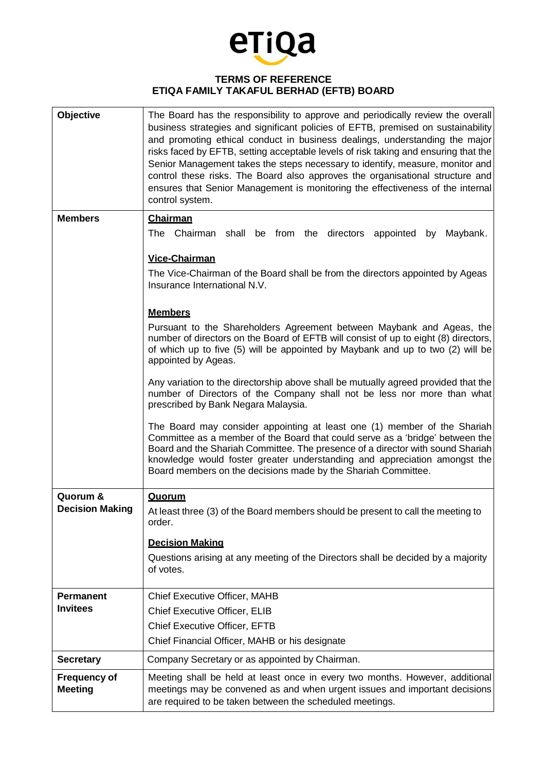

## **TERMS OF REFERENCE ETIQA FAMILY TAKAFUL BERHAD (EFTB) BOARD**

| Objective                             | The Board has the responsibility to approve and periodically review the overall<br>business strategies and significant policies of EFTB, premised on sustainability<br>and promoting ethical conduct in business dealings, understanding the major<br>risks faced by EFTB, setting acceptable levels of risk taking and ensuring that the<br>Senior Management takes the steps necessary to identify, measure, monitor and<br>control these risks. The Board also approves the organisational structure and<br>ensures that Senior Management is monitoring the effectiveness of the internal<br>control system. |
|---------------------------------------|------------------------------------------------------------------------------------------------------------------------------------------------------------------------------------------------------------------------------------------------------------------------------------------------------------------------------------------------------------------------------------------------------------------------------------------------------------------------------------------------------------------------------------------------------------------------------------------------------------------|
| <b>Members</b>                        | <b>Chairman</b>                                                                                                                                                                                                                                                                                                                                                                                                                                                                                                                                                                                                  |
|                                       | The Chairman shall be from the directors appointed by Maybank.                                                                                                                                                                                                                                                                                                                                                                                                                                                                                                                                                   |
|                                       | <b>Vice-Chairman</b>                                                                                                                                                                                                                                                                                                                                                                                                                                                                                                                                                                                             |
|                                       | The Vice-Chairman of the Board shall be from the directors appointed by Ageas<br>Insurance International N.V.                                                                                                                                                                                                                                                                                                                                                                                                                                                                                                    |
|                                       | <b>Members</b>                                                                                                                                                                                                                                                                                                                                                                                                                                                                                                                                                                                                   |
|                                       | Pursuant to the Shareholders Agreement between Maybank and Ageas, the<br>number of directors on the Board of EFTB will consist of up to eight (8) directors,<br>of which up to five (5) will be appointed by Maybank and up to two (2) will be<br>appointed by Ageas.                                                                                                                                                                                                                                                                                                                                            |
|                                       | Any variation to the directorship above shall be mutually agreed provided that the<br>number of Directors of the Company shall not be less nor more than what<br>prescribed by Bank Negara Malaysia.                                                                                                                                                                                                                                                                                                                                                                                                             |
|                                       | The Board may consider appointing at least one (1) member of the Shariah<br>Committee as a member of the Board that could serve as a 'bridge' between the<br>Board and the Shariah Committee. The presence of a director with sound Shariah<br>knowledge would foster greater understanding and appreciation amongst the<br>Board members on the decisions made by the Shariah Committee.                                                                                                                                                                                                                        |
| Quorum &                              | Quorum                                                                                                                                                                                                                                                                                                                                                                                                                                                                                                                                                                                                           |
| <b>Decision Making</b>                | At least three (3) of the Board members should be present to call the meeting to<br>order.                                                                                                                                                                                                                                                                                                                                                                                                                                                                                                                       |
|                                       | <b>Decision Making</b>                                                                                                                                                                                                                                                                                                                                                                                                                                                                                                                                                                                           |
|                                       | Questions arising at any meeting of the Directors shall be decided by a majority<br>of votes.                                                                                                                                                                                                                                                                                                                                                                                                                                                                                                                    |
| <b>Permanent</b>                      | <b>Chief Executive Officer, MAHB</b>                                                                                                                                                                                                                                                                                                                                                                                                                                                                                                                                                                             |
| <b>Invitees</b>                       | <b>Chief Executive Officer, ELIB</b>                                                                                                                                                                                                                                                                                                                                                                                                                                                                                                                                                                             |
|                                       | <b>Chief Executive Officer, EFTB</b>                                                                                                                                                                                                                                                                                                                                                                                                                                                                                                                                                                             |
|                                       | Chief Financial Officer, MAHB or his designate                                                                                                                                                                                                                                                                                                                                                                                                                                                                                                                                                                   |
| <b>Secretary</b>                      | Company Secretary or as appointed by Chairman.                                                                                                                                                                                                                                                                                                                                                                                                                                                                                                                                                                   |
| <b>Frequency of</b><br><b>Meeting</b> | Meeting shall be held at least once in every two months. However, additional<br>meetings may be convened as and when urgent issues and important decisions<br>are required to be taken between the scheduled meetings.                                                                                                                                                                                                                                                                                                                                                                                           |